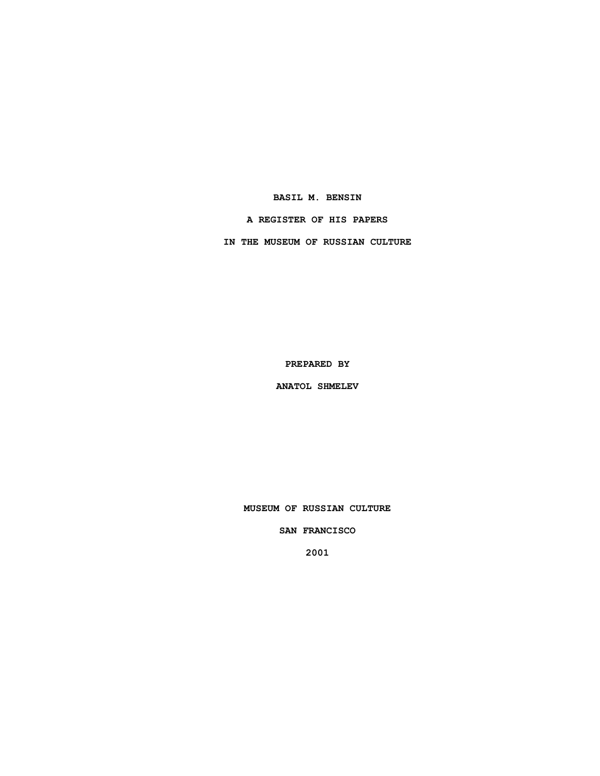## **BASIL M. BENSIN**

## **A REGISTER OF HIS PAPERS**

**IN THE MUSEUM OF RUSSIAN CULTURE**

**PREPARED BY**

**ANATOL SHMELEV**

**MUSEUM OF RUSSIAN CULTURE**

**SAN FRANCISCO**

**2001**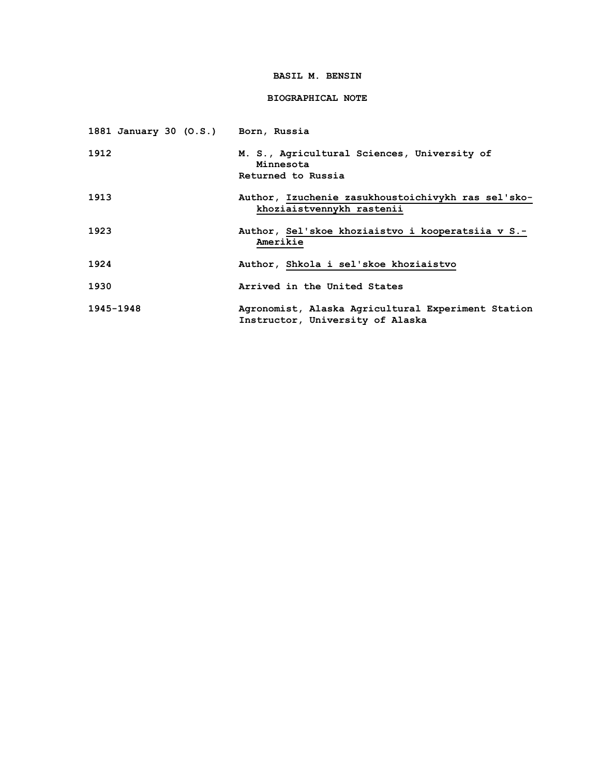## **BASIL M. BENSIN**

# **BIOGRAPHICAL NOTE**

| 1881 January 30 (O.S.) Born, Russia |                                                                                        |
|-------------------------------------|----------------------------------------------------------------------------------------|
| 1912                                | M. S., Agricultural Sciences, University of<br>Minnesota<br>Returned to Russia         |
| 1913                                | Author, Izuchenie zasukhoustoichivykh ras sel'sko-<br>khoziaistvennykh rastenii        |
| 1923                                | Author, Sel'skoe khoziaistvo i kooperatsiia v S.-<br>Amerikie                          |
| 1924                                | Author, Shkola i sel'skoe khoziaistvo                                                  |
| 1930                                | Arrived in the United States                                                           |
| 1945-1948                           | Agronomist, Alaska Agricultural Experiment Station<br>Instructor, University of Alaska |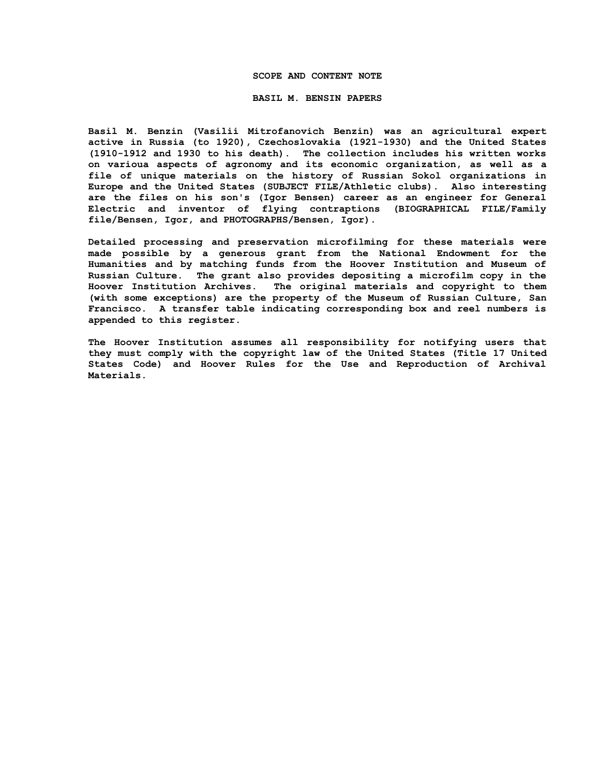#### **SCOPE AND CONTENT NOTE**

#### **BASIL M. BENSIN PAPERS**

**Basil M. Benzin (Vasilii Mitrofanovich Benzin) was an agricultural expert active in Russia (to 1920), Czechoslovakia (1921-1930) and the United States (1910-1912 and 1930 to his death). The collection includes his written works on varioua aspects of agronomy and its economic organization, as well as a file of unique materials on the history of Russian Sokol organizations in Europe and the United States (SUBJECT FILE/Athletic clubs). Also interesting are the files on his son's (Igor Bensen) career as an engineer for General Electric and inventor of flying contraptions (BIOGRAPHICAL FILE/Family file/Bensen, Igor, and PHOTOGRAPHS/Bensen, Igor).**

**Detailed processing and preservation microfilming for these materials were made possible by a generous grant from the National Endowment for the Humanities and by matching funds from the Hoover Institution and Museum of Russian Culture. The grant also provides depositing a microfilm copy in the Hoover Institution Archives. The original materials and copyright to them (with some exceptions) are the property of the Museum of Russian Culture, San Francisco. A transfer table indicating corresponding box and reel numbers is appended to this register.**

**The Hoover Institution assumes all responsibility for notifying users that they must comply with the copyright law of the United States (Title 17 United States Code) and Hoover Rules for the Use and Reproduction of Archival Materials.**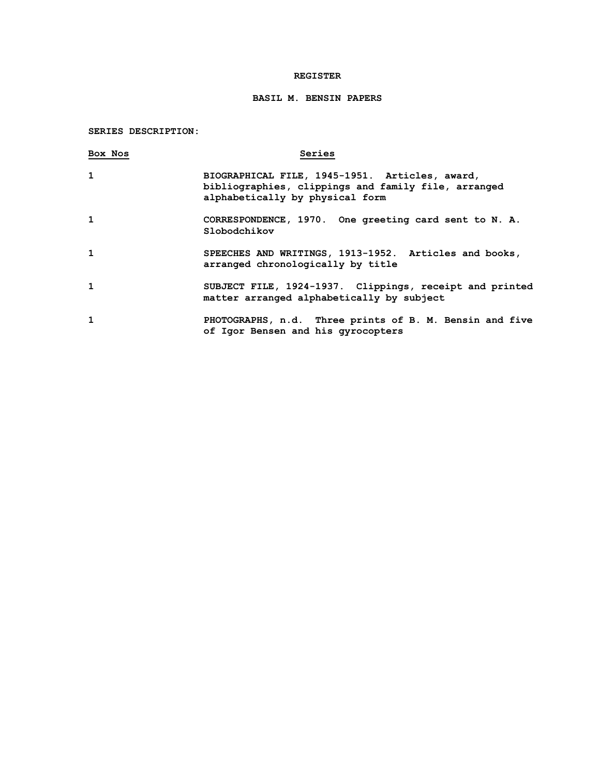## **REGISTER**

# **BASIL M. BENSIN PAPERS**

## **SERIES DESCRIPTION:**

| Box Nos      | Series                                                                                                                                   |
|--------------|------------------------------------------------------------------------------------------------------------------------------------------|
| $\mathbf{1}$ | BIOGRAPHICAL FILE, 1945-1951. Articles, award,<br>bibliographies, clippings and family file, arranged<br>alphabetically by physical form |
| 1            | CORRESPONDENCE, 1970. One greeting card sent to N. A.<br>Slobodchikov                                                                    |
| $\mathbf{1}$ | SPEECHES AND WRITINGS, 1913-1952. Articles and books,<br>arranged chronologically by title                                               |
| $\mathbf{1}$ | SUBJECT FILE, 1924-1937. Clippings, receipt and printed<br>matter arranged alphabetically by subject                                     |
| 1            | PHOTOGRAPHS, n.d. Three prints of B. M. Bensin and five<br>of Igor Bensen and his gyrocopters                                            |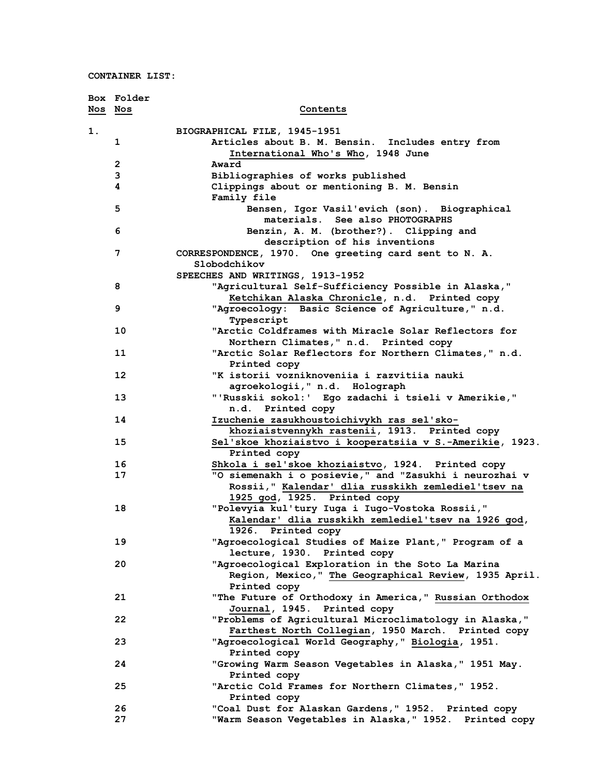|         | Box Folder     |                                                           |
|---------|----------------|-----------------------------------------------------------|
| Nos Nos |                | Contents                                                  |
|         |                |                                                           |
| 1.      |                | BIOGRAPHICAL FILE, 1945-1951                              |
|         | 1              | Articles about B. M. Bensin. Includes entry from          |
|         |                | International Who's Who, 1948 June                        |
|         | $\overline{2}$ | Award                                                     |
|         | 3              | Bibliographies of works published                         |
|         | 4              | Clippings about or mentioning B. M. Bensin<br>Family file |
|         | 5              | Bensen, Igor Vasil'evich (son). Biographical              |
|         |                | materials. See also PHOTOGRAPHS                           |
|         | 6              | Benzin, A. M. (brother?). Clipping and                    |
|         |                | description of his inventions                             |
|         | 7              | CORRESPONDENCE, 1970. One greeting card sent to N. A.     |
|         |                | Slobodchikov                                              |
|         |                | SPEECHES AND WRITINGS, 1913-1952                          |
|         | 8              | "Agricultural Self-Sufficiency Possible in Alaska,"       |
|         |                | Ketchikan Alaska Chronicle, n.d. Printed copy             |
|         | 9              | "Agroecology: Basic Science of Agriculture," n.d.         |
|         |                | Typescript                                                |
|         | 10             | "Arctic Coldframes with Miracle Solar Reflectors for      |
|         |                | Northern Climates, " n.d. Printed copy                    |
|         | 11             | "Arctic Solar Reflectors for Northern Climates," n.d.     |
|         |                | Printed copy                                              |
|         | 12             | "K istorii vozniknoveniia i razvitiia nauki               |
|         |                | agroekologii, " n.d. Holograph                            |
|         | 13             | "'Russkii sokol:' Ego zadachi i tsieli v Amerikie,"       |
|         |                | n.d. Printed copy                                         |
|         | 14             | Izuchenie zasukhoustoichivykh ras sel'sko-                |
|         |                | khoziaistvennykh rastenii, 1913. Printed copy             |
|         | 15             | Sel'skoe khoziaistvo i kooperatsiia v S.-Amerikie, 1923.  |
|         |                | Printed copy                                              |
|         | 16             | Shkola i sel'skoe khoziaistvo, 1924. Printed copy         |
|         | 17             | "O siemenakh i o posievie," and "Zasukhi i neurozhai v    |
|         |                | Rossii," Kalendar' dlia russkikh zemlediel'tsev na        |
|         |                | 1925 god, 1925. Printed copy                              |
|         | 18             | "Polevyia kul'tury Iuga i Iugo-Vostoka Rossii,"           |
|         |                | Kalendar' dlia russkikh zemlediel'tsev na 1926 god,       |
|         |                | 1926. Printed copy                                        |
|         | 19             | "Agroecological Studies of Maize Plant," Program of a     |
|         |                | lecture, 1930. Printed copy                               |
|         | 20             | "Agroecological Exploration in the Soto La Marina         |
|         |                | Region, Mexico," The Geographical Review, 1935 April.     |
|         |                | Printed copy                                              |
|         | 21             | "The Future of Orthodoxy in America," Russian Orthodox    |
|         |                | Journal, 1945. Printed copy                               |
|         | 22             | "Problems of Agricultural Microclimatology in Alaska,"    |
|         |                | Farthest North Collegian, 1950 March. Printed copy        |
|         | 23             | "Agroecological World Geography," Biologia, 1951.         |
|         |                | Printed copy                                              |
|         | 24             | "Growing Warm Season Vegetables in Alaska," 1951 May.     |
|         |                | Printed copy                                              |
|         | 25             | "Arctic Cold Frames for Northern Climates," 1952.         |
|         |                | Printed copy                                              |
|         | 26             | "Coal Dust for Alaskan Gardens," 1952. Printed copy       |
|         | 27             | "Warm Season Vegetables in Alaska," 1952. Printed copy    |